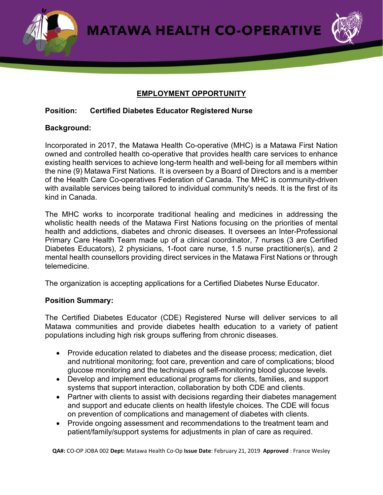**MATAWA HEALTH CO-OPERATIVE** 



# **EMPLOYMENT OPPORTUNITY**

### **Position: Certified Diabetes Educator Registered Nurse**

### **Background:**

Incorporated in 2017, the Matawa Health Co-operative (MHC) is a Matawa First Nation owned and controlled health co-operative that provides health care services to enhance existing health services to achieve long-term health and well-being for all members within the nine (9) Matawa First Nations. It is overseen by a Board of Directors and is a member of the Health Care Co-operatives Federation of Canada. The MHC is community-driven with available services being tailored to individual community's needs. It is the first of its kind in Canada.

The MHC works to incorporate traditional healing and medicines in addressing the wholistic health needs of the Matawa First Nations focusing on the priorities of mental health and addictions, diabetes and chronic diseases. It oversees an Inter-Professional Primary Care Health Team made up of a clinical coordinator, 7 nurses (3 are Certified Diabetes Educators), 2 physicians, 1-foot care nurse, 1.5 nurse practitioner(s), and 2 mental health counsellors providing direct services in the Matawa First Nations or through telemedicine.

The organization is accepting applications for a Certified Diabetes Nurse Educator.

## **Position Summary:**

The Certified Diabetes Educator (CDE) Registered Nurse will deliver services to all Matawa communities and provide diabetes health education to a variety of patient populations including high risk groups suffering from chronic diseases.

- Provide education related to diabetes and the disease process; medication, diet and nutritional monitoring; foot care, prevention and care of complications; blood glucose monitoring and the techniques of self-monitoring blood glucose levels.
- Develop and implement educational programs for clients, families, and support systems that support interaction, collaboration by both CDE and clients.
- Partner with clients to assist with decisions regarding their diabetes management and support and educate clients on health lifestyle choices. The CDE will focus on prevention of complications and management of diabetes with clients.
- Provide ongoing assessment and recommendations to the treatment team and patient/family/support systems for adjustments in plan of care as required.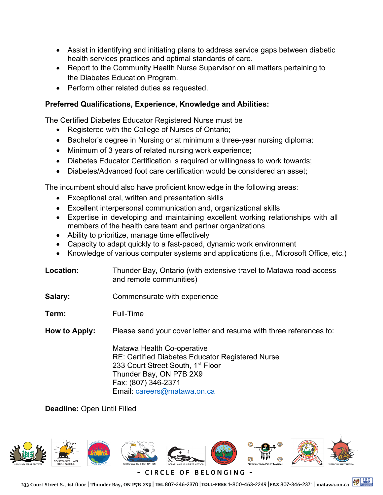- Assist in identifying and initiating plans to address service gaps between diabetic health services practices and optimal standards of care.
- Report to the Community Health Nurse Supervisor on all matters pertaining to the Diabetes Education Program.
- Perform other related duties as requested.

### **Preferred Qualifications, Experience, Knowledge and Abilities:**

The Certified Diabetes Educator Registered Nurse must be

- Registered with the College of Nurses of Ontario;
- Bachelor's degree in Nursing or at minimum a three-year nursing diploma;
- Minimum of 3 years of related nursing work experience;
- Diabetes Educator Certification is required or willingness to work towards;
- Diabetes/Advanced foot care certification would be considered an asset;

The incumbent should also have proficient knowledge in the following areas:

- Exceptional oral, written and presentation skills
- Excellent interpersonal communication and, organizational skills
- Expertise in developing and maintaining excellent working relationships with all members of the health care team and partner organizations
- Ability to prioritize, manage time effectively
- Capacity to adapt quickly to a fast-paced, dynamic work environment
- Knowledge of various computer systems and applications (i.e., Microsoft Office, etc.)

**Location:** Thunder Bay, Ontario (with extensive travel to Matawa road-access and remote communities)

**Salary:** Commensurate with experience

**Term:** Full-Time

**How to Apply:** Please send your cover letter and resume with three references to:

Matawa Health Co-operative RE: Certified Diabetes Educator Registered Nurse 233 Court Street South, 1<sup>st</sup> Floor Thunder Bay, ON P7B 2X9 Fax: (807) 346-2371 Email: [careers@matawa.on.ca](mailto:careers@matawa.on.ca) 

#### **Deadline:** Open Until Filled



- CIRCLE OF BELONGING -